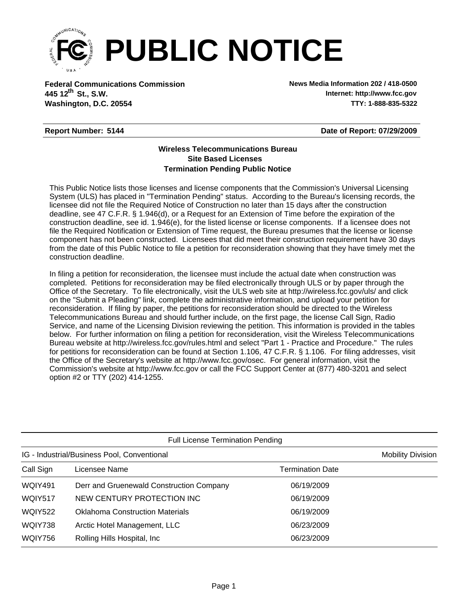

**Federal Communications Commission News Media Information 202 / 418-0500 Washington, D.C. 20554 TTY: 1-888-835-5322 445 12<sup>th</sup> St., S.W.** 

**Internet: http://www.fcc.gov**

## **Report Number: 5144**

**Date of Report: 07/29/2009**

## **Wireless Telecommunications Bureau Site Based Licenses Termination Pending Public Notice**

This Public Notice lists those licenses and license components that the Commission's Universal Licensing System (ULS) has placed in "Termination Pending" status. According to the Bureau's licensing records, the licensee did not file the Required Notice of Construction no later than 15 days after the construction deadline, see 47 C.F.R. § 1.946(d), or a Request for an Extension of Time before the expiration of the construction deadline, see id. 1.946(e), for the listed license or license components. If a licensee does not file the Required Notification or Extension of Time request, the Bureau presumes that the license or license component has not been constructed. Licensees that did meet their construction requirement have 30 days from the date of this Public Notice to file a petition for reconsideration showing that they have timely met the construction deadline.

In filing a petition for reconsideration, the licensee must include the actual date when construction was completed. Petitions for reconsideration may be filed electronically through ULS or by paper through the Office of the Secretary. To file electronically, visit the ULS web site at http://wireless.fcc.gov/uls/ and click on the "Submit a Pleading" link, complete the administrative information, and upload your petition for reconsideration. If filing by paper, the petitions for reconsideration should be directed to the Wireless Telecommunications Bureau and should further include, on the first page, the license Call Sign, Radio Service, and name of the Licensing Division reviewing the petition. This information is provided in the tables below. For further information on filing a petition for reconsideration, visit the Wireless Telecommunications Bureau website at http://wireless.fcc.gov/rules.html and select "Part 1 - Practice and Procedure." The rules for petitions for reconsideration can be found at Section 1.106, 47 C.F.R. § 1.106. For filing addresses, visit the Office of the Secretary's website at http://www.fcc.gov/osec. For general information, visit the Commission's website at http://www.fcc.gov or call the FCC Support Center at (877) 480-3201 and select option #2 or TTY (202) 414-1255.

| <b>Full License Termination Pending</b>     |                                          |                         |  |  |  |  |
|---------------------------------------------|------------------------------------------|-------------------------|--|--|--|--|
| IG - Industrial/Business Pool, Conventional | <b>Mobility Division</b>                 |                         |  |  |  |  |
| Call Sign                                   | Licensee Name                            | <b>Termination Date</b> |  |  |  |  |
| <b>WQIY491</b>                              | Derr and Gruenewald Construction Company | 06/19/2009              |  |  |  |  |
| WQIY517                                     | NEW CENTURY PROTECTION INC               | 06/19/2009              |  |  |  |  |
| <b>WQIY522</b>                              | <b>Oklahoma Construction Materials</b>   | 06/19/2009              |  |  |  |  |
| WQIY738                                     | Arctic Hotel Management, LLC             | 06/23/2009              |  |  |  |  |
| WQIY756                                     | Rolling Hills Hospital, Inc.             | 06/23/2009              |  |  |  |  |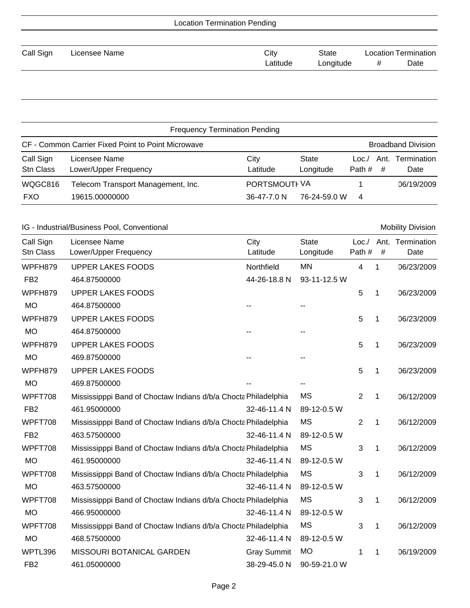| <b>Location Termination</b><br>Date<br># |  |  |
|------------------------------------------|--|--|
|                                          |  |  |

| <b>Frequency Termination Pending</b>                                            |                                                      |                                         |                    |                |           |                     |
|---------------------------------------------------------------------------------|------------------------------------------------------|-----------------------------------------|--------------------|----------------|-----------|---------------------|
| CF - Common Carrier Fixed Point to Point Microwave<br><b>Broadband Division</b> |                                                      |                                         |                    |                |           |                     |
| Call Sign<br>Stn Class                                                          | Licensee Name<br>Lower/Upper Frequency               | City<br>Latitude                        | State<br>Longitude | Loc/<br>Path # | Ant.<br># | Termination<br>Date |
| WQGC816<br><b>FXO</b>                                                           | Telecom Transport Management, Inc.<br>19615.00000000 | <b>PORTSMOUTHVA</b><br>$36 - 47 - 70$ N | 76-24-59.0 W       | 4              |           | 06/19/2009          |

|                        | IG - Industrial/Business Pool, Conventional                    |                    |                           |                 |      | <b>Mobility Division</b> |
|------------------------|----------------------------------------------------------------|--------------------|---------------------------|-----------------|------|--------------------------|
| Call Sign<br>Stn Class | Licensee Name<br>Lower/Upper Frequency                         | City<br>Latitude   | <b>State</b><br>Longitude | Loc. /<br>Path# | $\#$ | Ant. Termination<br>Date |
| WPFH879                | <b>UPPER LAKES FOODS</b>                                       | Northfield         | <b>MN</b>                 | 4               | 1    | 06/23/2009               |
| FB <sub>2</sub>        | 464.87500000                                                   | 44-26-18.8 N       | 93-11-12.5 W              |                 |      |                          |
| WPFH879                | <b>UPPER LAKES FOODS</b>                                       |                    |                           | 5               | 1    | 06/23/2009               |
| <b>MO</b>              | 464.87500000                                                   |                    |                           |                 |      |                          |
| WPFH879                | <b>UPPER LAKES FOODS</b>                                       |                    |                           | 5               | 1    | 06/23/2009               |
| <b>MO</b>              | 464.87500000                                                   |                    |                           |                 |      |                          |
| WPFH879                | <b>UPPER LAKES FOODS</b>                                       |                    |                           | 5               | 1    | 06/23/2009               |
| <b>MO</b>              | 469.87500000                                                   |                    |                           |                 |      |                          |
| WPFH879                | <b>UPPER LAKES FOODS</b>                                       |                    |                           | 5               | 1    | 06/23/2009               |
| <b>MO</b>              | 469.87500000                                                   |                    |                           |                 |      |                          |
| WPFT708                | Mississipppi Band of Choctaw Indians d/b/a Chocta Philadelphia |                    | <b>MS</b>                 | 2               | 1    | 06/12/2009               |
| FB <sub>2</sub>        | 461.95000000                                                   | 32-46-11.4 N       | 89-12-0.5 W               |                 |      |                          |
| WPFT708                | Mississipppi Band of Choctaw Indians d/b/a Chocta Philadelphia |                    | <b>MS</b>                 | 2               | 1    | 06/12/2009               |
| FB <sub>2</sub>        | 463.57500000                                                   | 32-46-11.4 N       | 89-12-0.5 W               |                 |      |                          |
| WPFT708                | Mississipppi Band of Choctaw Indians d/b/a Chocta Philadelphia |                    | <b>MS</b>                 | 3               | 1    | 06/12/2009               |
| <b>MO</b>              | 461.95000000                                                   | 32-46-11.4 N       | 89-12-0.5 W               |                 |      |                          |
| WPFT708                | Mississipppi Band of Choctaw Indians d/b/a Chocta Philadelphia |                    | <b>MS</b>                 | 3               | 1    | 06/12/2009               |
| <b>MO</b>              | 463.57500000                                                   | 32-46-11.4 N       | 89-12-0.5 W               |                 |      |                          |
| WPFT708                | Mississipppi Band of Choctaw Indians d/b/a Chocta Philadelphia |                    | <b>MS</b>                 | 3               | 1    | 06/12/2009               |
| <b>MO</b>              | 466.95000000                                                   | 32-46-11.4 N       | 89-12-0.5 W               |                 |      |                          |
| WPFT708                | Mississipppi Band of Choctaw Indians d/b/a Chocta Philadelphia |                    | <b>MS</b>                 | 3               | 1    | 06/12/2009               |
| <b>MO</b>              | 468.57500000                                                   | 32-46-11.4 N       | 89-12-0.5 W               |                 |      |                          |
| WPTL396                | MISSOURI BOTANICAL GARDEN                                      | <b>Gray Summit</b> | <b>MO</b>                 | 1               | 1    | 06/19/2009               |
| FB <sub>2</sub>        | 461.05000000                                                   | 38-29-45.0 N       | 90-59-21.0 W              |                 |      |                          |